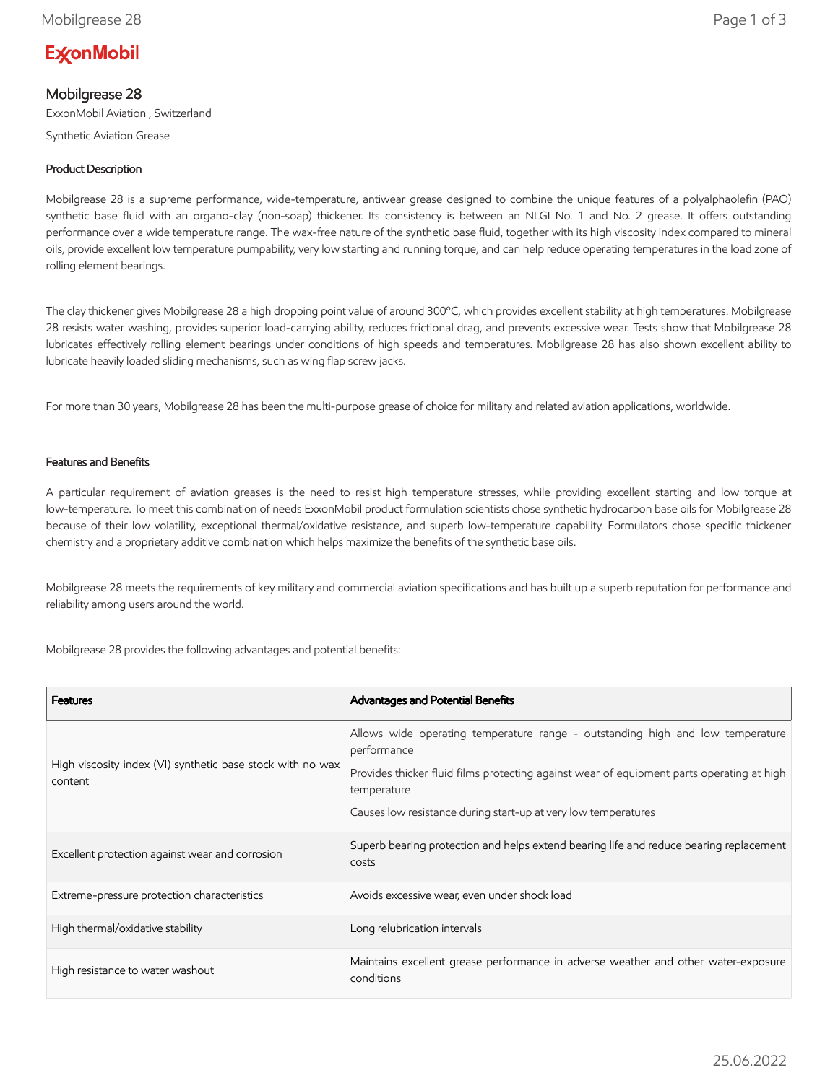# **ExconMobil**

# Mobilgrease 28

ExxonMobil Aviation , Switzerland

Synthetic Aviation Grease

## Product Description

Mobilgrease 28 is a supreme performance, wide-temperature, antiwear grease designed to combine the unique features of a polyalphaolefin (PAO) synthetic base fluid with an organo-clay (non-soap) thickener. Its consistency is between an NLGI No. 1 and No. 2 grease. It offers outstanding performance over a wide temperature range. The wax-free nature of the synthetic base fluid, together with its high viscosity index compared to mineral oils, provide excellent low temperature pumpability, very low starting and running torque, and can help reduce operating temperatures in the load zone of rolling element bearings.

The clay thickener gives Mobilgrease 28 a high dropping point value of around 300ºC, which provides excellent stability at high temperatures. Mobilgrease 28 resists water washing, provides superior load-carrying ability, reduces frictional drag, and prevents excessive wear. Tests show that Mobilgrease 28 lubricates effectively rolling element bearings under conditions of high speeds and temperatures. Mobilgrease 28 has also shown excellent ability to lubricate heavily loaded sliding mechanisms, such as wing flap screw jacks.

For more than 30 years, Mobilgrease 28 has been the multi-purpose grease of choice for military and related aviation applications, worldwide.

### Features and Benefits

A particular requirement of aviation greases is the need to resist high temperature stresses, while providing excellent starting and low torque at low-temperature. To meet this combination of needs ExxonMobil product formulation scientists chose synthetic hydrocarbon base oils for Mobilgrease 28 because of their low volatility, exceptional thermal/oxidative resistance, and superb low-temperature capability. Formulators chose specific thickener chemistry and a proprietary additive combination which helps maximize the benefits of the synthetic base oils.

Mobilgrease 28 meets the requirements of key military and commercial aviation specifications and has built up a superb reputation for performance and reliability among users around the world.

Mobilgrease 28 provides the following advantages and potential benefits:

| <b>Features</b>                                                       | Advantages and Potential Benefits                                                                                                                                                                                                                                           |
|-----------------------------------------------------------------------|-----------------------------------------------------------------------------------------------------------------------------------------------------------------------------------------------------------------------------------------------------------------------------|
| High viscosity index (VI) synthetic base stock with no wax<br>content | Allows wide operating temperature range - outstanding high and low temperature<br>performance<br>Provides thicker fluid films protecting against wear of equipment parts operating at high<br>temperature<br>Causes low resistance during start-up at very low temperatures |
| Excellent protection against wear and corrosion                       | Superb bearing protection and helps extend bearing life and reduce bearing replacement<br>costs                                                                                                                                                                             |
| Extreme-pressure protection characteristics                           | Avoids excessive wear, even under shock load                                                                                                                                                                                                                                |
| High thermal/oxidative stability                                      | Long relubrication intervals                                                                                                                                                                                                                                                |
| High resistance to water washout                                      | Maintains excellent grease performance in adverse weather and other water-exposure<br>conditions                                                                                                                                                                            |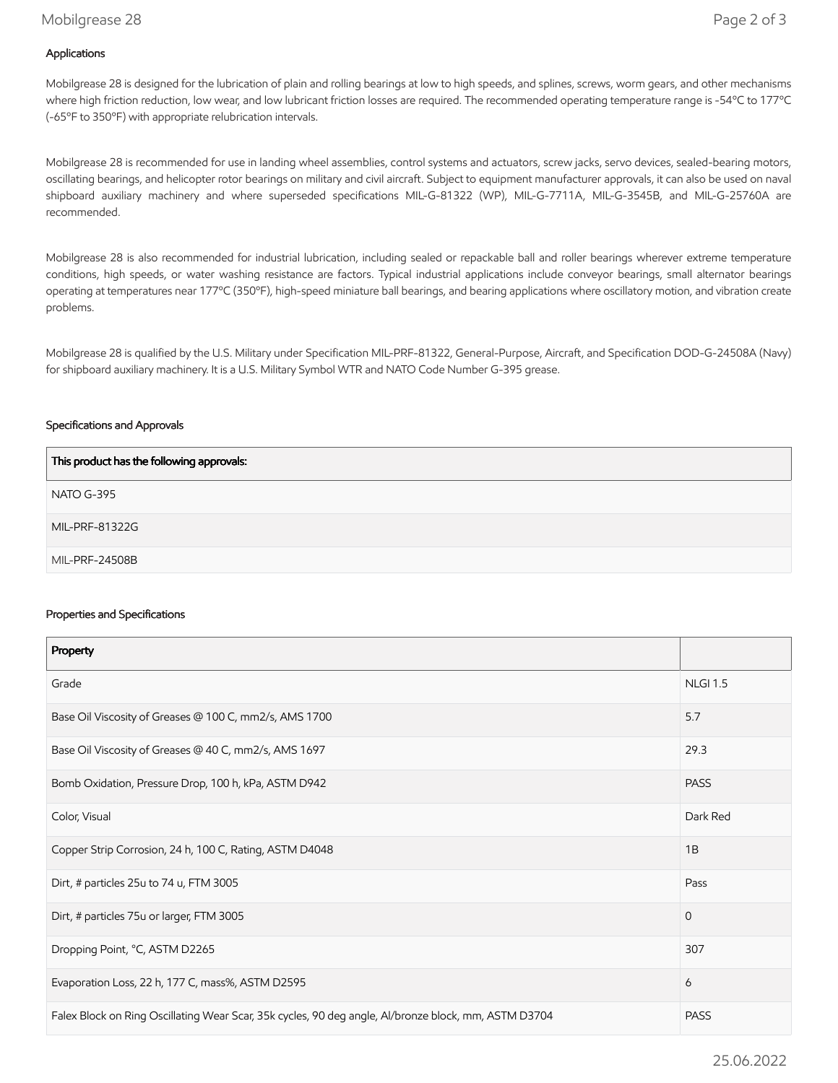## Mobilgrease 28 Page 2 of 3

## Applications

Mobilgrease 28 is designed for the lubrication of plain and rolling bearings at low to high speeds, and splines, screws, worm gears, and other mechanisms where high friction reduction, low wear, and low lubricant friction losses are required. The recommended operating temperature range is -54ºC to 177ºC (-65ºF to 350ºF) with appropriate relubrication intervals.

Mobilgrease 28 is recommended for use in landing wheel assemblies, control systems and actuators, screw jacks, servo devices, sealed-bearing motors, oscillating bearings, and helicopter rotor bearings on military and civil aircraft. Subject to equipment manufacturer approvals, it can also be used on naval shipboard auxiliary machinery and where superseded specifications MIL-G-81322 (WP), MIL-G-7711A, MIL-G-3545B, and MIL-G-25760A are recommended.

Mobilgrease 28 is also recommended for industrial lubrication, including sealed or repackable ball and roller bearings wherever extreme temperature conditions, high speeds, or water washing resistance are factors. Typical industrial applications include conveyor bearings, small alternator bearings operating at temperatures near 177ºC (350ºF), high-speed miniature ball bearings, and bearing applications where oscillatory motion, and vibration create problems.

Mobilgrease 28 is qualified by the U.S. Military under Specification MIL-PRF-81322, General-Purpose, Aircraft, and Specification DOD-G-24508A (Navy) for shipboard auxiliary machinery. It is a U.S. Military Symbol WTR and NATO Code Number G-395 grease.

#### Specifications and Approvals

| This product has the following approvals: |
|-------------------------------------------|
| NATO G-395                                |
| MIL-PRF-81322G                            |
| MIL-PRF-24508B                            |

#### Properties and Specifications

| Property                                                                                             |                 |
|------------------------------------------------------------------------------------------------------|-----------------|
| Grade                                                                                                | <b>NLGI 1.5</b> |
| Base Oil Viscosity of Greases @ 100 C, mm2/s, AMS 1700                                               | 5.7             |
| Base Oil Viscosity of Greases @ 40 C, mm2/s, AMS 1697                                                | 29.3            |
| Bomb Oxidation, Pressure Drop, 100 h, kPa, ASTM D942                                                 | <b>PASS</b>     |
| Color, Visual                                                                                        | Dark Red        |
| Copper Strip Corrosion, 24 h, 100 C, Rating, ASTM D4048                                              | 1B              |
| Dirt, # particles 25u to 74 u, FTM 3005                                                              | Pass            |
| Dirt, # particles 75u or larger, FTM 3005                                                            | $\mathbf{0}$    |
| Dropping Point, °C, ASTM D2265                                                                       | 307             |
| Evaporation Loss, 22 h, 177 C, mass%, ASTM D2595                                                     | 6               |
| Falex Block on Ring Oscillating Wear Scar, 35k cycles, 90 deg angle, Al/bronze block, mm, ASTM D3704 |                 |